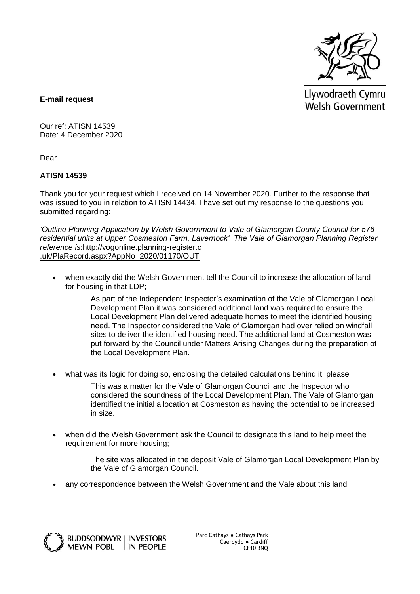

Llywodraeth Cymru Welsh Government

**E-mail request**

Our ref: ATISN 14539 Date: 4 December 2020

Dear

## **ATISN 14539**

Thank you for your request which I received on 14 November 2020. Further to the response that was issued to you in relation to ATISN 14434, I have set out my response to the questions you submitted regarding:

*'Outline Planning Application by Welsh Government to Vale of Glamorgan County Council for 576 residential units at Upper Cosmeston Farm, Lavernock'. The Vale of Glamorgan Planning Register reference is*[:http://vogonline.planning-register.c](https://eur01.safelinks.protection.outlook.com/?url=http%3A%2F%2Fvogonline.planning-register.co.uk%2FPlaRecord.aspx%3FAppNo%3D2020%2F01170%2FOUT&data=04%7C01%7CFreedomofinformation%40gov.wales%7C401b21d17aad49643a4f08d8894b041a%7Ca2cc36c592804ae78887d06dab89216b%7C0%7C0%7C637410302568991039%7CUnknown%7CTWFpbGZsb3d8eyJWIjoiMC4wLjAwMDAiLCJQIjoiV2luMzIiLCJBTiI6Ik1haWwiLCJXVCI6Mn0%3D%7C1000&sdata=HVTbm0fJMcsUylRdvhxpPP2XG7rCingRfnSCZyxfYuM%3D&reserved=0) [.uk/PlaRecord.aspx?AppNo=2020/01170/OUT](https://eur01.safelinks.protection.outlook.com/?url=http%3A%2F%2Fvogonline.planning-register.co.uk%2FPlaRecord.aspx%3FAppNo%3D2020%2F01170%2FOUT&data=04%7C01%7CFreedomofinformation%40gov.wales%7C401b21d17aad49643a4f08d8894b041a%7Ca2cc36c592804ae78887d06dab89216b%7C0%7C0%7C637410302569000987%7CUnknown%7CTWFpbGZsb3d8eyJWIjoiMC4wLjAwMDAiLCJQIjoiV2luMzIiLCJBTiI6Ik1haWwiLCJXVCI6Mn0%3D%7C1000&sdata=GUEw8RbM9JDjUktsQTXKewJw2uXEx9Pd7K2kZjUtzGU%3D&reserved=0)

 when exactly did the Welsh Government tell the Council to increase the allocation of land for housing in that LDP;

> As part of the Independent Inspector's examination of the Vale of Glamorgan Local Development Plan it was considered additional land was required to ensure the Local Development Plan delivered adequate homes to meet the identified housing need. The Inspector considered the Vale of Glamorgan had over relied on windfall sites to deliver the identified housing need. The additional land at Cosmeston was put forward by the Council under Matters Arising Changes during the preparation of the Local Development Plan.

what was its logic for doing so, enclosing the detailed calculations behind it, please

This was a matter for the Vale of Glamorgan Council and the Inspector who considered the soundness of the Local Development Plan. The Vale of Glamorgan identified the initial allocation at Cosmeston as having the potential to be increased in size.

 when did the Welsh Government ask the Council to designate this land to help meet the requirement for more housing;

> The site was allocated in the deposit Vale of Glamorgan Local Development Plan by the Vale of Glamorgan Council.

any correspondence between the Welsh Government and the Vale about this land.



Parc Cathays ● Cathays Park Caerdydd ● Cardiff CF10 3NQ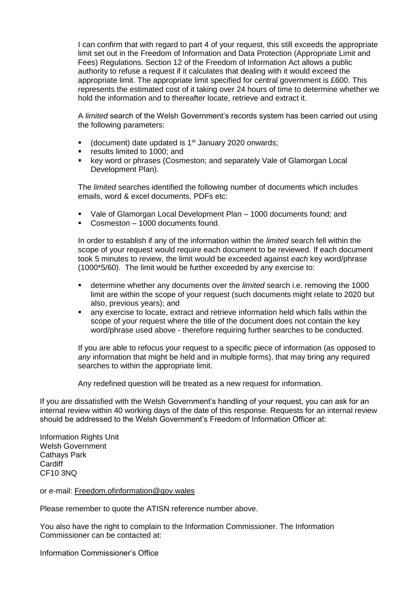I can confirm that with regard to part 4 of your request, this still exceeds the appropriate limit set out in the Freedom of Information and Data Protection (Appropriate Limit and Fees) Regulations. Section 12 of the Freedom of Information Act allows a public authority to refuse a request if it calculates that dealing with it would exceed the appropriate limit. The appropriate limit specified for central government is £600. This represents the estimated cost of it taking over 24 hours of time to determine whether we hold the information and to thereafter locate, retrieve and extract it.

A *limited* search of the Welsh Government's records system has been carried out using the following parameters:

- (document) date updated is  $1<sup>st</sup>$  January 2020 onwards;
- results limited to 1000; and
- **EXEGY WORD OF SHIPS ASSET ASSET ASSET IS A LOCAL FIGURE 10** At A Local EQS word or phrases (Cosmeston; and separately Vale of Glamorgan Local Development Plan).

The *limited* searches identified the following number of documents which includes emails, word & excel documents, PDFs etc:

- Vale of Glamorgan Local Development Plan 1000 documents found; and
- Cosmeston 1000 documents found.

In order to establish if any of the information within the *limited* search fell within the scope of your request would require each document to be reviewed. If each document took 5 minutes to review, the limit would be exceeded against *each* key word/phrase (1000\*5/60). The limit would be further exceeded by any exercise to:

- determine whether any documents over the *limited* search i.e. removing the 1000 limit are within the scope of your request (such documents might relate to 2020 but also, previous years); and
- any exercise to locate, extract and retrieve information held which falls within the scope of your request where the title of the document does not contain the key word/phrase used above - therefore requiring further searches to be conducted.

If you are able to refocus your request to a specific piece of information (as opposed to *any* information that might be held and in multiple forms), that may bring any required searches to within the appropriate limit.

Any redefined question will be treated as a new request for information.

If you are dissatisfied with the Welsh Government's handling of your request, you can ask for an internal review within 40 working days of the date of this response. Requests for an internal review should be addressed to the Welsh Government's Freedom of Information Officer at:

Information Rights Unit Welsh Government Cathays Park Cardiff CF10 3NQ

or e-mail: [Freedom.ofinformation@gov.wales](mailto:Freedom.ofinformation@gov.wales)

Please remember to quote the ATISN reference number above.

You also have the right to complain to the Information Commissioner. The Information Commissioner can be contacted at:

Information Commissioner's Office